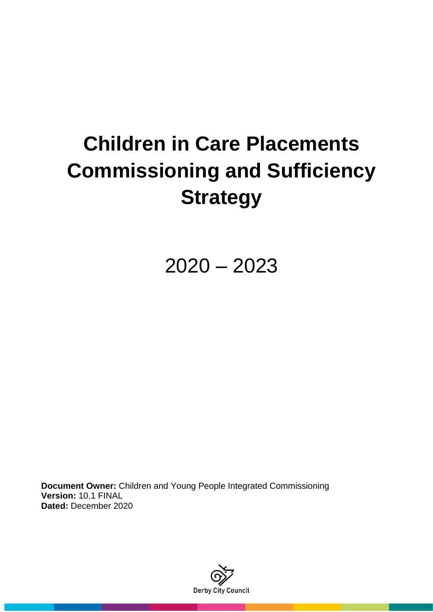# **Children in Care Placements Commissioning and Sufficiency Strategy**

2020 – 2023

**Document Owner:** Children and Young People Integrated Commissioning **Version:** 10.1 FINAL **Dated:** December 2020

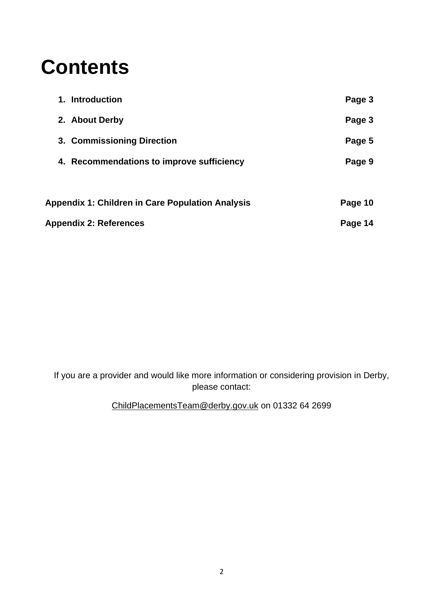# **Contents**

| <b>Appendix 2: References</b>                           | Page 14 |
|---------------------------------------------------------|---------|
| <b>Appendix 1: Children in Care Population Analysis</b> | Page 10 |
| 4. Recommendations to improve sufficiency               | Page 9  |
| 3. Commissioning Direction                              | Page 5  |
| 2. About Derby                                          | Page 3  |
| 1. Introduction                                         | Page 3  |

If you are a provider and would like more information or considering provision in Derby, please contact:

ChildPlacementsTeam@derby.gov.uk on 01332 64 2699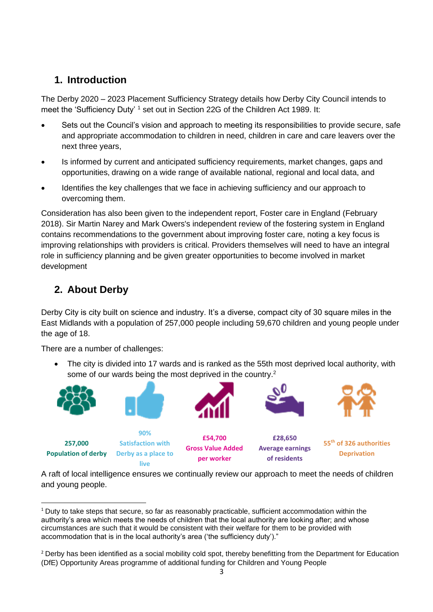## **1. Introduction**

The Derby 2020 – 2023 Placement Sufficiency Strategy details how Derby City Council intends to meet the 'Sufficiency Duty' <sup>1</sup> set out in Section 22G of the Children Act 1989. It:

- Sets out the Council's vision and approach to meeting its responsibilities to provide secure, safe and appropriate accommodation to children in need, children in care and care leavers over the next three years,
- Is informed by current and anticipated sufficiency requirements, market changes, gaps and opportunities, drawing on a wide range of available national, regional and local data, and
- Identifies the key challenges that we face in achieving sufficiency and our approach to overcoming them.

Consideration has also been given to the independent report, Foster care in England (February 2018). Sir Martin Narey and Mark Owers's independent review of the fostering system in England contains recommendations to the government about improving foster care, noting a key focus is improving relationships with providers is critical. Providers themselves will need to have an integral role in sufficiency planning and be given greater opportunities to become involved in market development

## **2. About Derby**

Derby City is city built on science and industry. It's a diverse, compact city of 30 square miles in the East Midlands with a population of 257,000 people including 59,670 children and young people under the age of 18.

There are a number of challenges:

• The city is divided into 17 wards and is ranked as the 55th most deprived local authority, with some of our wards being the most deprived in the country.<sup>2</sup>



A raft of local intelligence ensures we continually review our approach to meet the needs of children and young people.

<sup>&</sup>lt;sup>1</sup> Duty to take steps that secure, so far as reasonably practicable, sufficient accommodation within the authority's area which meets the needs of children that the local authority are looking after; and whose circumstances are such that it would be consistent with their welfare for them to be provided with accommodation that is in the local authority's area ('the sufficiency duty')."

<sup>&</sup>lt;sup>2</sup> Derby has been identified as a social mobility cold spot, thereby benefitting from the Department for Education (DfE) Opportunity Areas programme of additional funding for Children and Young People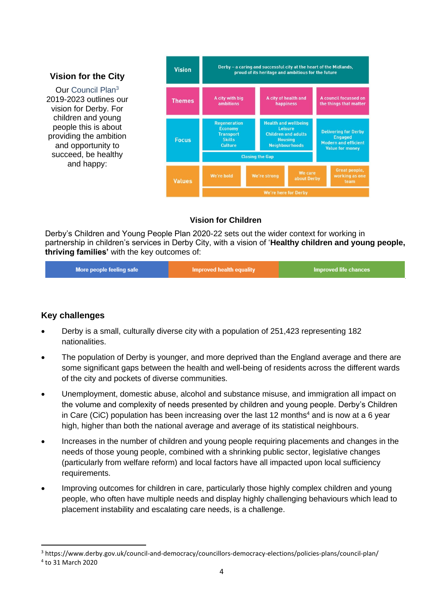#### **Vision for the City**

Our Council Plan<sup>3</sup> 2019-2023 outlines our vision for Derby. For children and young people this is about providing the ambition and opportunity to succeed, be healthy and happy:



#### **Vision for Children**

Derby's Children and Young People Plan 2020-22 sets out the wider context for working in partnership in children's services in Derby City, with a vision of '**Healthy children and young people, thriving families'** with the key outcomes of:

| More people feeling safe | Improved health equality | Improved life chances |
|--------------------------|--------------------------|-----------------------|
|--------------------------|--------------------------|-----------------------|

#### **Key challenges**

- Derby is a small, culturally diverse city with a population of 251,423 representing 182 nationalities.
- The population of Derby is younger, and more deprived than the England average and there are some significant gaps between the health and well-being of residents across the different wards of the city and pockets of diverse communities.
- Unemployment, domestic abuse, alcohol and substance misuse, and immigration all impact on the volume and complexity of needs presented by children and young people. Derby's Children in Care (CiC) population has been increasing over the last 12 months<sup>4</sup> and is now at a 6 year high, higher than both the national average and average of its statistical neighbours.
- Increases in the number of children and young people requiring placements and changes in the needs of those young people, combined with a shrinking public sector, legislative changes (particularly from welfare reform) and local factors have all impacted upon local sufficiency requirements.
- Improving outcomes for children in care, particularly those highly complex children and young people, who often have multiple needs and display highly challenging behaviours which lead to placement instability and escalating care needs, is a challenge.

<sup>3</sup> https://www.derby.gov.uk/council-and-democracy/councillors-democracy-elections/policies-plans/council-plan/

<sup>4</sup> to 31 March 2020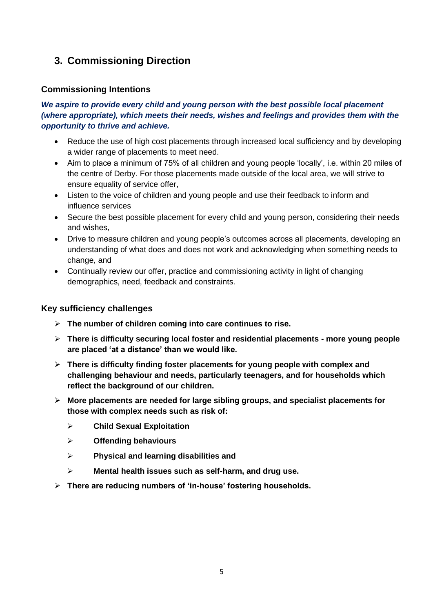## **3. Commissioning Direction**

#### **Commissioning Intentions**

#### *We aspire to provide every child and young person with the best possible local placement (where appropriate), which meets their needs, wishes and feelings and provides them with the opportunity to thrive and achieve.*

- Reduce the use of high cost placements through increased local sufficiency and by developing a wider range of placements to meet need.
- Aim to place a minimum of 75% of all children and young people 'locally', i.e. within 20 miles of the centre of Derby. For those placements made outside of the local area, we will strive to ensure equality of service offer,
- Listen to the voice of children and young people and use their feedback to inform and influence services
- Secure the best possible placement for every child and young person, considering their needs and wishes,
- Drive to measure children and young people's outcomes across all placements, developing an understanding of what does and does not work and acknowledging when something needs to change, and
- Continually review our offer, practice and commissioning activity in light of changing demographics, need, feedback and constraints.

#### **Key sufficiency challenges**

- ➢ **The number of children coming into care continues to rise.**
- ➢ **There is difficulty securing local foster and residential placements - more young people are placed 'at a distance' than we would like.**
- ➢ **There is difficulty finding foster placements for young people with complex and challenging behaviour and needs, particularly teenagers, and for households which reflect the background of our children.**
- ➢ **More placements are needed for large sibling groups, and specialist placements for those with complex needs such as risk of:**
	- ➢ **Child Sexual Exploitation**
	- ➢ **Offending behaviours**
	- ➢ **Physical and learning disabilities and**
	- ➢ **Mental health issues such as self-harm, and drug use.**
- ➢ **There are reducing numbers of 'in-house' fostering households.**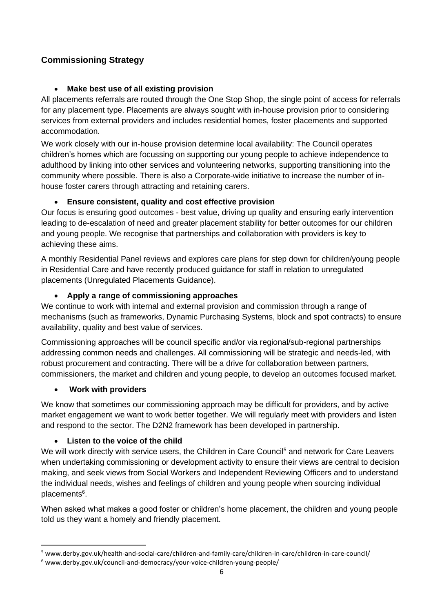### **Commissioning Strategy**

#### • **Make best use of all existing provision**

All placements referrals are routed through the One Stop Shop, the single point of access for referrals for any placement type. Placements are always sought with in-house provision prior to considering services from external providers and includes residential homes, foster placements and supported accommodation.

We work closely with our in-house provision determine local availability: The Council operates children's homes which are focussing on supporting our young people to achieve independence to adulthood by linking into other services and volunteering networks, supporting transitioning into the community where possible. There is also a Corporate-wide initiative to increase the number of inhouse foster carers through attracting and retaining carers.

#### • **Ensure consistent, quality and cost effective provision**

Our focus is ensuring good outcomes - best value, driving up quality and ensuring early intervention leading to de-escalation of need and greater placement stability for better outcomes for our children and young people. We recognise that partnerships and collaboration with providers is key to achieving these aims.

A monthly Residential Panel reviews and explores care plans for step down for children/young people in Residential Care and have recently produced guidance for staff in relation to unregulated placements (Unregulated Placements Guidance).

#### • **Apply a range of commissioning approaches**

We continue to work with internal and external provision and commission through a range of mechanisms (such as frameworks, Dynamic Purchasing Systems, block and spot contracts) to ensure availability, quality and best value of services.

Commissioning approaches will be council specific and/or via regional/sub-regional partnerships addressing common needs and challenges. All commissioning will be strategic and needs-led, with robust procurement and contracting. There will be a drive for collaboration between partners, commissioners, the market and children and young people, to develop an outcomes focused market.

#### • **Work with providers**

We know that sometimes our commissioning approach may be difficult for providers, and by active market engagement we want to work better together. We will regularly meet with providers and listen and respond to the sector. The D2N2 framework has been developed in partnership.

#### • **Listen to the voice of the child**

We will work directly with service users, the Children in Care Council<sup>5</sup> and network for Care Leavers when undertaking commissioning or development activity to ensure their views are central to decision making, and seek views from Social Workers and Independent Reviewing Officers and to understand the individual needs, wishes and feelings of children and young people when sourcing individual placements<sup>6</sup>.

When asked what makes a good foster or children's home placement, the children and young people told us they want a homely and friendly placement.

<sup>5</sup> www.derby.gov.uk/health-and-social-care/children-and-family-care/children-in-care/children-in-care-council/

<sup>6</sup> www.derby.gov.uk/council-and-democracy/your-voice-children-young-people/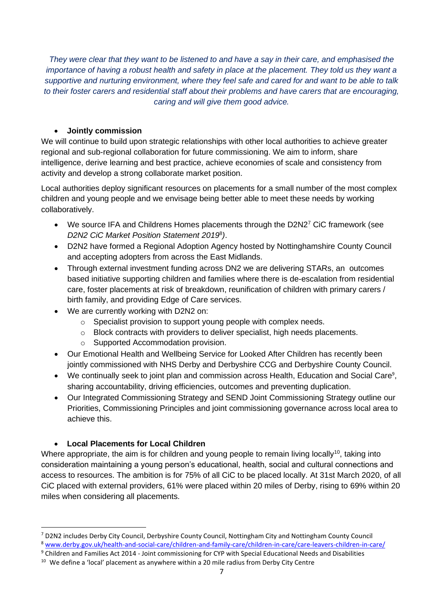*They were clear that they want to be listened to and have a say in their care, and emphasised the importance of having a robust health and safety in place at the placement. They told us they want a supportive and nurturing environment, where they feel safe and cared for and want to be able to talk to their foster carers and residential staff about their problems and have carers that are encouraging, caring and will give them good advice.*

#### • **Jointly commission**

We will continue to build upon strategic relationships with other local authorities to achieve greater regional and sub-regional collaboration for future commissioning. We aim to inform, share intelligence, derive learning and best practice, achieve economies of scale and consistency from activity and develop a strong collaborate market position.

Local authorities deploy significant resources on placements for a small number of the most complex children and young people and we envisage being better able to meet these needs by working collaboratively.

- We source IFA and Childrens Homes placements through the D2N2<sup>7</sup> CiC framework (see *D2N2 CiC Market Position Statement 2019*<sup>8</sup> *)*.
- D2N2 have formed a Regional Adoption Agency hosted by Nottinghamshire County Council and accepting adopters from across the East Midlands.
- Through external investment funding across DN2 we are delivering STARs, an outcomes based initiative supporting children and families where there is de-escalation from residential care, foster placements at risk of breakdown, reunification of children with primary carers / birth family, and providing Edge of Care services.
- We are currently working with D2N2 on:
	- o Specialist provision to support young people with complex needs.
	- $\circ$  Block contracts with providers to deliver specialist, high needs placements.
	- o Supported Accommodation provision.
- Our Emotional Health and Wellbeing Service for Looked After Children has recently been jointly commissioned with NHS Derby and Derbyshire CCG and Derbyshire County Council.
- We continually seek to joint plan and commission across Health, Education and Social Care<sup>9</sup>, sharing accountability, driving efficiencies, outcomes and preventing duplication.
- Our Integrated Commissioning Strategy and SEND Joint Commissioning Strategy outline our Priorities, Commissioning Principles and joint commissioning governance across local area to achieve this.

### • **Local Placements for Local Children**

Where appropriate, the aim is for children and young people to remain living locally<sup>10</sup>, taking into consideration maintaining a young person's educational, health, social and cultural connections and access to resources. The ambition is for 75% of all CiC to be placed locally. At 31st March 2020, of all CiC placed with external providers, 61% were placed within 20 miles of Derby, rising to 69% within 20 miles when considering all placements.

<sup>7</sup> D2N2 includes Derby City Council, Derbyshire County Council, Nottingham City and Nottingham County Council

<sup>8</sup> [www.derby.gov.uk/health-and-social-care/children-and-family-care/children-in-care/care-leavers-children-in-care/](http://www.derby.gov.uk/health-and-social-care/children-and-family-care/children-in-care/care-leavers-children-in-care/)

<sup>&</sup>lt;sup>9</sup> Children and Families Act 2014 - Joint commissioning for CYP with Special Educational Needs and Disabilities

<sup>&</sup>lt;sup>10</sup> We define a 'local' placement as anywhere within a 20 mile radius from Derby City Centre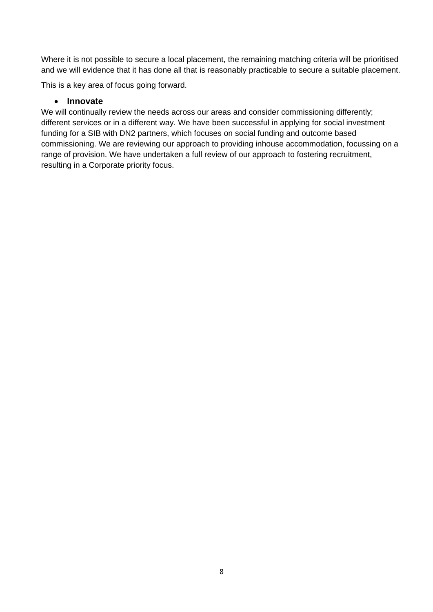Where it is not possible to secure a local placement, the remaining matching criteria will be prioritised and we will evidence that it has done all that is reasonably practicable to secure a suitable placement.

This is a key area of focus going forward.

#### • **Innovate**

We will continually review the needs across our areas and consider commissioning differently; different services or in a different way. We have been successful in applying for social investment funding for a SIB with DN2 partners, which focuses on social funding and outcome based commissioning. We are reviewing our approach to providing inhouse accommodation, focussing on a range of provision. We have undertaken a full review of our approach to fostering recruitment, resulting in a Corporate priority focus.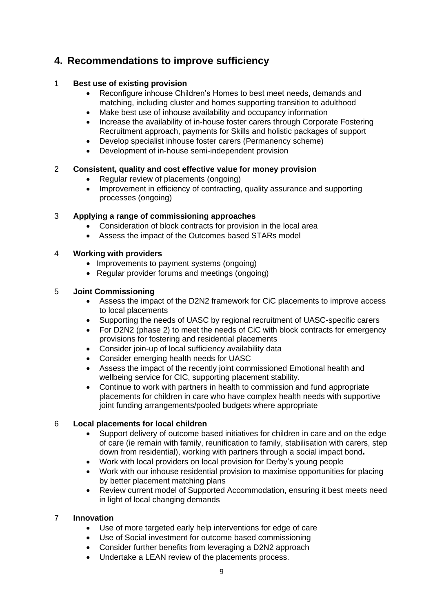## **4. Recommendations to improve sufficiency**

#### 1 **Best use of existing provision**

- Reconfigure inhouse Children's Homes to best meet needs, demands and matching, including cluster and homes supporting transition to adulthood
- Make best use of inhouse availability and occupancy information
- Increase the availability of in-house foster carers through Corporate Fostering Recruitment approach, payments for Skills and holistic packages of support
- Develop specialist inhouse foster carers (Permanency scheme)
- Development of in-house semi-independent provision

#### 2 **Consistent, quality and cost effective value for money provision**

- Regular review of placements (ongoing)
- Improvement in efficiency of contracting, quality assurance and supporting processes (ongoing)

#### 3 **Applying a range of commissioning approaches**

- Consideration of block contracts for provision in the local area
- Assess the impact of the Outcomes based STARs model

#### 4 **Working with providers**

- Improvements to payment systems (ongoing)
- Regular provider forums and meetings (ongoing)

#### 5 **Joint Commissioning**

- Assess the impact of the D2N2 framework for CiC placements to improve access to local placements
- Supporting the needs of UASC by regional recruitment of UASC-specific carers
- For D2N2 (phase 2) to meet the needs of CiC with block contracts for emergency provisions for fostering and residential placements
- Consider join-up of local sufficiency availability data
- Consider emerging health needs for UASC
- Assess the impact of the recently joint commissioned Emotional health and wellbeing service for CIC, supporting placement stability.
- Continue to work with partners in health to commission and fund appropriate placements for children in care who have complex health needs with supportive joint funding arrangements/pooled budgets where appropriate

#### 6 **Local placements for local children**

- Support delivery of outcome based initiatives for children in care and on the edge of care (ie remain with family, reunification to family, stabilisation with carers, step down from residential), working with partners through a social impact bond**.**
- Work with local providers on local provision for Derby's young people
- Work with our inhouse residential provision to maximise opportunities for placing by better placement matching plans
- Review current model of Supported Accommodation, ensuring it best meets need in light of local changing demands

#### 7 **Innovation**

- Use of more targeted early help interventions for edge of care
- Use of Social investment for outcome based commissioning
- Consider further benefits from leveraging a D2N2 approach
- Undertake a LEAN review of the placements process.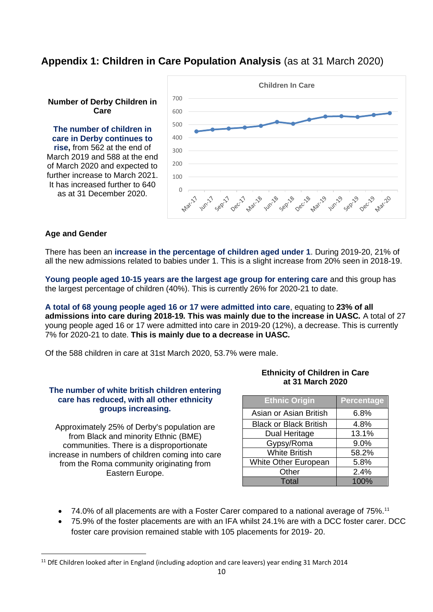## **Appendix 1: Children in Care Population Analysis** (as at 31 March 2020)

#### **Number of Derby Children in Care**

**The number of children in care in Derby continues to rise,** from 562 at the end of March 2019 and 588 at the end of March 2020 and expected to further increase to March 2021. It has increased further to 640 as at 31 December 2020.



#### **Age and Gender**

There has been an **increase in the percentage of children aged under 1**. During 2019-20, 21% of all the new admissions related to babies under 1. This is a slight increase from 20% seen in 2018-19.

**Young people aged 10-15 years are the largest age group for entering care** and this group has the largest percentage of children (40%). This is currently 26% for 2020-21 to date.

**A total of 68 young people aged 16 or 17 were admitted into care**, equating to **23% of all admissions into care during 2018-19***.* **This was mainly due to the increase in UASC***.* A total of 27 young people aged 16 or 17 were admitted into care in 2019-20 (12%), a decrease. This is currently 7% for 2020-21 to date. **This is mainly due to a decrease in UASC***.* 

Of the 588 children in care at 31st March 2020, 53.7% were male.

#### **The number of white british children entering care has reduced, with all other ethnicity groups increasing.**

Approximately 25% of Derby's population are from Black and minority Ethnic (BME) communities. There is a disproportionate increase in numbers of children coming into care from the Roma community originating from Eastern Europe.

#### **Ethnicity of Children in Care at 31 March 2020**

| <b>Ethnic Origin</b>          | <b>Percentage</b> |
|-------------------------------|-------------------|
| Asian or Asian British        | 6.8%              |
| <b>Black or Black British</b> | 4.8%              |
| Dual Heritage                 | 13.1%             |
| Gypsy/Roma                    | 9.0%              |
| <b>White British</b>          | 58.2%             |
| <b>White Other European</b>   | 5.8%              |
| Other                         | 2.4%              |
| Total                         | 100%              |

- 74.0% of all placements are with a Foster Carer compared to a national average of  $75\%$ .<sup>11</sup>
- 75.9% of the foster placements are with an IFA whilst 24.1% are with a DCC foster carer. DCC foster care provision remained stable with 105 placements for 2019- 20.

<sup>&</sup>lt;sup>11</sup> DfE Children looked after in England (including adoption and care leavers) year ending 31 March 2014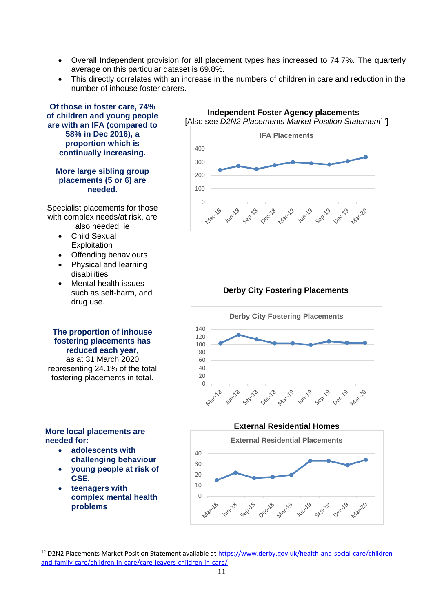- Overall Independent provision for all placement types has increased to 74.7%. The quarterly average on this particular dataset is 69.8%.
- This directly correlates with an increase in the numbers of children in care and reduction in the number of inhouse foster carers.



**Independent Foster Agency placements** [Also see *D2N2 Placements Market Position Statement*<sup>12</sup>]

<sup>&</sup>lt;sup>12</sup> D2N2 Placements Market Position Statement available at [https://www.derby.gov.uk/health-and-social-care/children](https://www.derby.gov.uk/health-and-social-care/children-and-family-care/children-in-care/care-leavers-children-in-care/)[and-family-care/children-in-care/care-leavers-children-in-care/](https://www.derby.gov.uk/health-and-social-care/children-and-family-care/children-in-care/care-leavers-children-in-care/)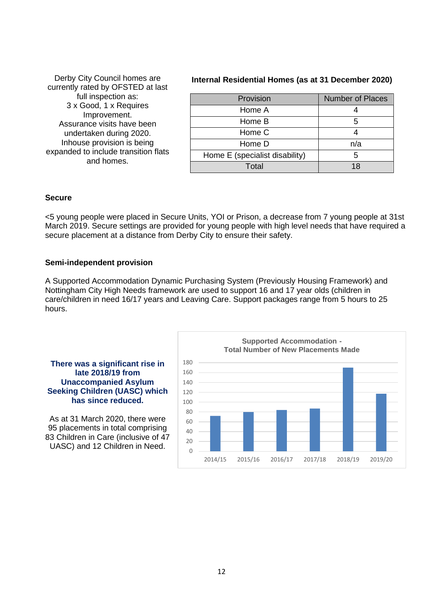| Derby City Council homes are         |
|--------------------------------------|
| currently rated by OFSTED at last    |
| full inspection as:                  |
| 3 x Good, 1 x Requires               |
| Improvement.                         |
| Assurance visits have been           |
| undertaken during 2020.              |
| Inhouse provision is being           |
| expanded to include transition flats |
| and homes.                           |
|                                      |

#### **Internal Residential Homes (as at 31 December 2020)**

| Provision                      | <b>Number of Places</b> |
|--------------------------------|-------------------------|
| Home A                         |                         |
| Home B                         |                         |
| Home C                         |                         |
| Home D                         | n/a                     |
| Home E (specialist disability) | 5                       |
| Total                          | 18                      |

#### **Secure**

<5 young people were placed in Secure Units, YOI or Prison, a decrease from 7 young people at 31st March 2019. Secure settings are provided for young people with high level needs that have required a secure placement at a distance from Derby City to ensure their safety.

#### **Semi-independent provision**

A Supported Accommodation Dynamic Purchasing System (Previously Housing Framework) and Nottingham City High Needs framework are used to support 16 and 17 year olds (children in care/children in need 16/17 years and Leaving Care. Support packages range from 5 hours to 25 hours.

#### **There was a significant rise in late 2018/19 from Unaccompanied Asylum Seeking Children (UASC) which has since reduced.**

As at 31 March 2020, there were 95 placements in total comprising 83 Children in Care (inclusive of 47 UASC) and 12 Children in Need.  $\begin{bmatrix} 20 \\ 0 \end{bmatrix}$ 

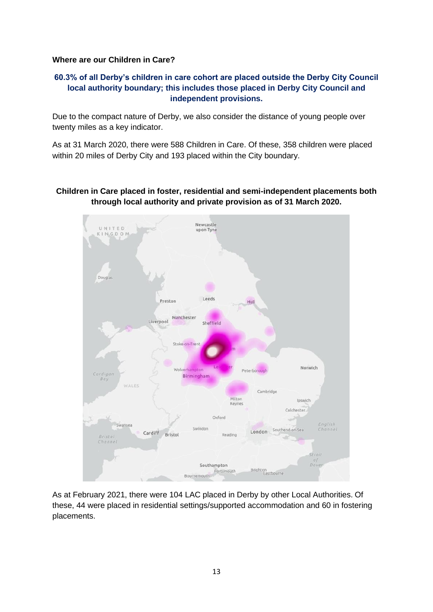#### **Where are our Children in Care?**

#### **60.3% of all Derby's children in care cohort are placed outside the Derby City Council local authority boundary; this includes those placed in Derby City Council and independent provisions.**

Due to the compact nature of Derby, we also consider the distance of young people over twenty miles as a key indicator.

As at 31 March 2020, there were 588 Children in Care. Of these, 358 children were placed within 20 miles of Derby City and 193 placed within the City boundary.

#### **Children in Care placed in foster, residential and semi-independent placements both through local authority and private provision as of 31 March 2020.**



As at February 2021, there were 104 LAC placed in Derby by other Local Authorities. Of these, 44 were placed in residential settings/supported accommodation and 60 in fostering placements.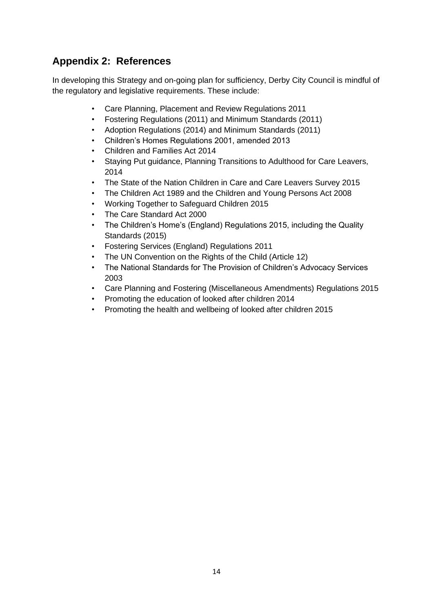## **Appendix 2: References**

In developing this Strategy and on-going plan for sufficiency, Derby City Council is mindful of the regulatory and legislative requirements. These include:

- Care Planning, Placement and Review Regulations 2011
- Fostering Regulations (2011) and Minimum Standards (2011)
- Adoption Regulations (2014) and Minimum Standards (2011)
- Children's Homes Regulations 2001, amended 2013
- Children and Families Act 2014
- Staying Put guidance, Planning Transitions to Adulthood for Care Leavers, 2014
- The State of the Nation Children in Care and Care Leavers Survey 2015
- The Children Act 1989 and the Children and Young Persons Act 2008
- Working Together to Safeguard Children 2015
- The Care Standard Act 2000
- The Children's Home's (England) Regulations 2015, including the Quality Standards (2015)
- Fostering Services (England) Regulations 2011
- The UN Convention on the Rights of the Child (Article 12)
- The National Standards for The Provision of Children's Advocacy Services 2003
- Care Planning and Fostering (Miscellaneous Amendments) Regulations 2015
- Promoting the education of looked after children 2014
- Promoting the health and wellbeing of looked after children 2015